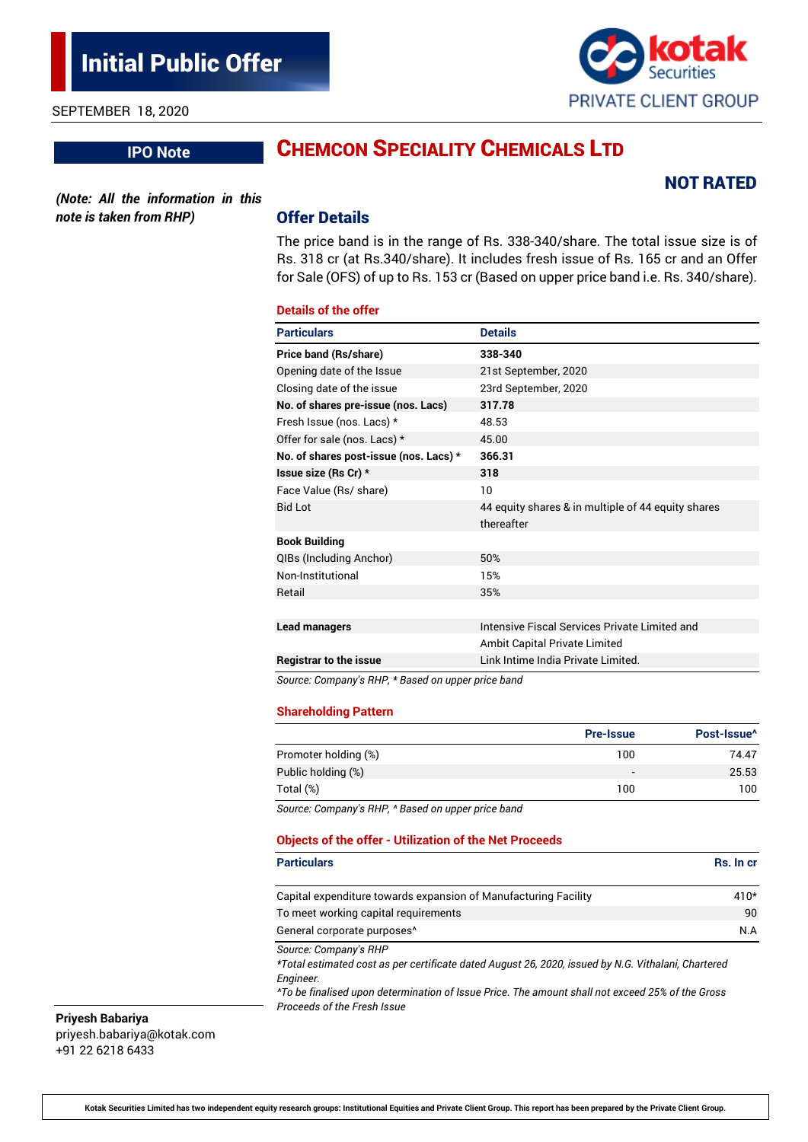SEPTEMBER 18, 2020

**IPO Note**

# CHEMCON SPECIALITY CHEMICALS LTD

*(Note: All the information in this note is taken from RHP)*

### Offer Details

The price band is in the range of Rs. 338-340/share. The total issue size is of Rs. 318 cr (at Rs.340/share). It includes fresh issue of Rs. 165 cr and an Offer for Sale (OFS) of up to Rs. 153 cr (Based on upper price band i.e. Rs. 340/share).

#### **Details of the offer**

| <b>Particulars</b>                                         | <b>Details</b>                                     |
|------------------------------------------------------------|----------------------------------------------------|
| <b>Price band (Rs/share)</b>                               | 338-340                                            |
| Opening date of the Issue                                  | 21st September, 2020                               |
| Closing date of the issue                                  | 23rd September, 2020                               |
| No. of shares pre-issue (nos. Lacs)                        | 317.78                                             |
| Fresh Issue (nos. Lacs) *                                  | 48.53                                              |
| Offer for sale (nos. Lacs) *                               | 45.00                                              |
| No. of shares post-issue (nos. Lacs) *                     | 366.31                                             |
| Issue size (Rs Cr) *                                       | 318                                                |
| Face Value (Rs/ share)                                     | 10                                                 |
| <b>Bid Lot</b>                                             | 44 equity shares & in multiple of 44 equity shares |
|                                                            | thereafter                                         |
| <b>Book Building</b>                                       |                                                    |
| QIBs (Including Anchor)                                    | 50%                                                |
| Non-Institutional                                          | 15%                                                |
| Retail                                                     | 35%                                                |
|                                                            |                                                    |
| <b>Lead managers</b>                                       | Intensive Fiscal Services Private Limited and      |
|                                                            | Ambit Capital Private Limited                      |
| <b>Registrar to the issue</b><br>$\mathbf{r}$ $\mathbf{r}$ | Link Intime India Private Limited.<br>.            |

*Source: Company's RHP, \* Based on upper price band*

#### **Shareholding Pattern**

|                      | <b>Pre-Issue</b> | Post-Issue <sup>^</sup> |
|----------------------|------------------|-------------------------|
| Promoter holding (%) | 100              | 74.47                   |
| Public holding (%)   | -                | 25.53                   |
| Total (%)            | 100              | 100                     |

*Source: Company's RHP, ^ Based on upper price band*

#### **Objects of the offer - Utilization of the Net Proceeds**

| <b>Particulars</b>                                                                                                           | <b>Rs. In cr.</b> |
|------------------------------------------------------------------------------------------------------------------------------|-------------------|
| Capital expenditure towards expansion of Manufacturing Facility                                                              | $410*$            |
| To meet working capital requirements                                                                                         | 90                |
| General corporate purposes <sup>^</sup>                                                                                      | N.A               |
| Source: Company's RHP<br>*Total estimated cost as per certificate dated August 26, 2020, issued by N.G. Vithalani, Chartered |                   |

*Engineer.*

*^To be finalised upon determination of Issue Price. The amount shall not exceed 25% of the Gross Proceeds of the Fresh Issue*

**Priyesh Babariya** priyesh.babariya@kotak.com +91 22 6218 6433



NOT RATED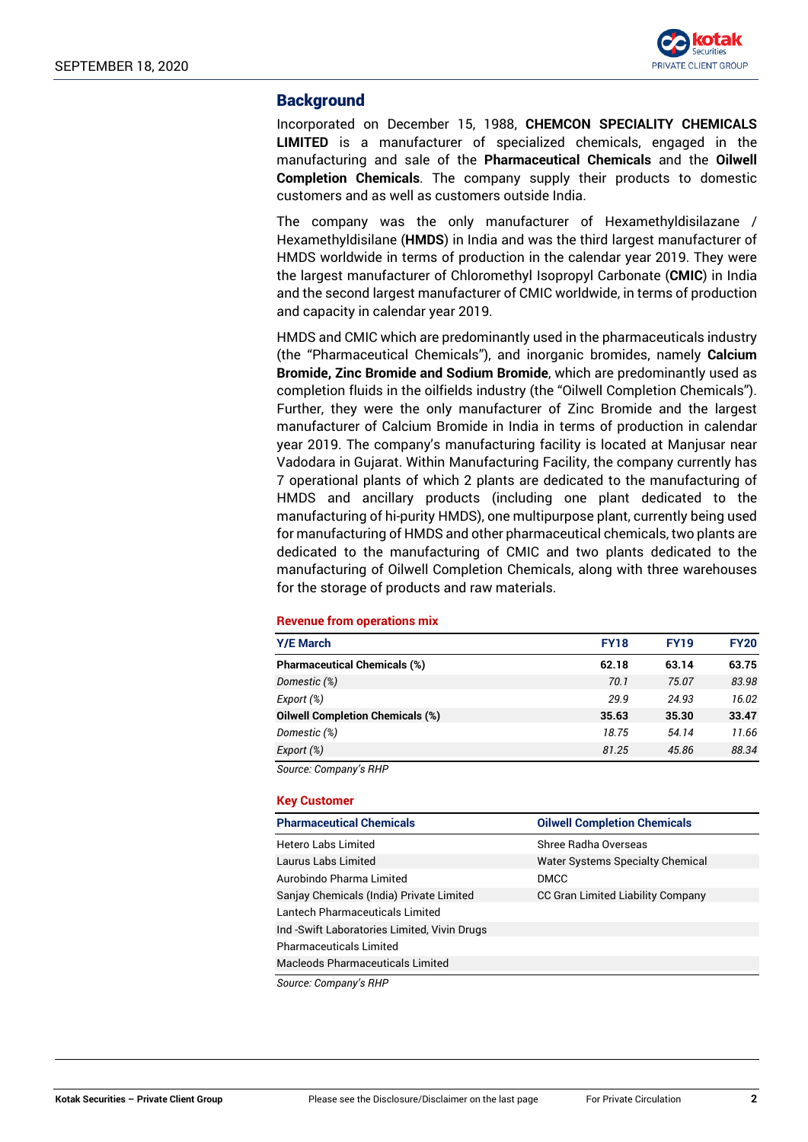

## **Background**

Incorporated on December 15, 1988, **CHEMCON SPECIALITY CHEMICALS LIMITED** is a manufacturer of specialized chemicals, engaged in the manufacturing and sale of the **Pharmaceutical Chemicals** and the **Oilwell Completion Chemicals**. The company supply their products to domestic customers and as well as customers outside India.

The company was the only manufacturer of Hexamethyldisilazane / Hexamethyldisilane (**HMDS**) in India and was the third largest manufacturer of HMDS worldwide in terms of production in the calendar year 2019. They were the largest manufacturer of Chloromethyl Isopropyl Carbonate (**CMIC**) in India and the second largest manufacturer of CMIC worldwide, in terms of production and capacity in calendar year 2019.

HMDS and CMIC which are predominantly used in the pharmaceuticals industry (the "Pharmaceutical Chemicals"), and inorganic bromides, namely **Calcium Bromide, Zinc Bromide and Sodium Bromide**, which are predominantly used as completion fluids in the oilfields industry (the "Oilwell Completion Chemicals"). Further, they were the only manufacturer of Zinc Bromide and the largest manufacturer of Calcium Bromide in India in terms of production in calendar year 2019. The company's manufacturing facility is located at Manjusar near Vadodara in Gujarat. Within Manufacturing Facility, the company currently has 7 operational plants of which 2 plants are dedicated to the manufacturing of HMDS and ancillary products (including one plant dedicated to the manufacturing of hi-purity HMDS), one multipurpose plant, currently being used for manufacturing of HMDS and other pharmaceutical chemicals, two plants are dedicated to the manufacturing of CMIC and two plants dedicated to the manufacturing of Oilwell Completion Chemicals, along with three warehouses for the storage of products and raw materials.

#### **Revenue from operations mix**

| <b>Y/E March</b>                        | <b>FY18</b> | <b>FY19</b> | <b>FY20</b> |
|-----------------------------------------|-------------|-------------|-------------|
| <b>Pharmaceutical Chemicals (%)</b>     | 62.18       | 63.14       | 63.75       |
| Domestic (%)                            | 70.1        | 75.07       | 83.98       |
| Export (%)                              | 29.9        | 24.93       | 16.02       |
| <b>Oilwell Completion Chemicals (%)</b> | 35.63       | 35.30       | 33.47       |
| Domestic (%)                            | 18.75       | 54.14       | 11.66       |
| Export (%)                              | 81.25       | 45.86       | 88.34       |

*Source: Company's RHP*

#### **Key Customer**

| <b>Pharmaceutical Chemicals</b>              | <b>Oilwell Completion Chemicals</b>     |
|----------------------------------------------|-----------------------------------------|
| Hetero Labs Limited                          | Shree Radha Overseas                    |
| Laurus Labs Limited                          | <b>Water Systems Specialty Chemical</b> |
| Aurobindo Pharma Limited                     | <b>DMCC</b>                             |
| Sanjay Chemicals (India) Private Limited     | CC Gran Limited Liability Company       |
| Lantech Pharmaceuticals Limited              |                                         |
| Ind -Swift Laboratories Limited, Vivin Drugs |                                         |
| <b>Pharmaceuticals Limited</b>               |                                         |
| <b>Macleods Pharmaceuticals Limited</b>      |                                         |
| Course Company's DUD                         |                                         |

*Source: Company's RHP*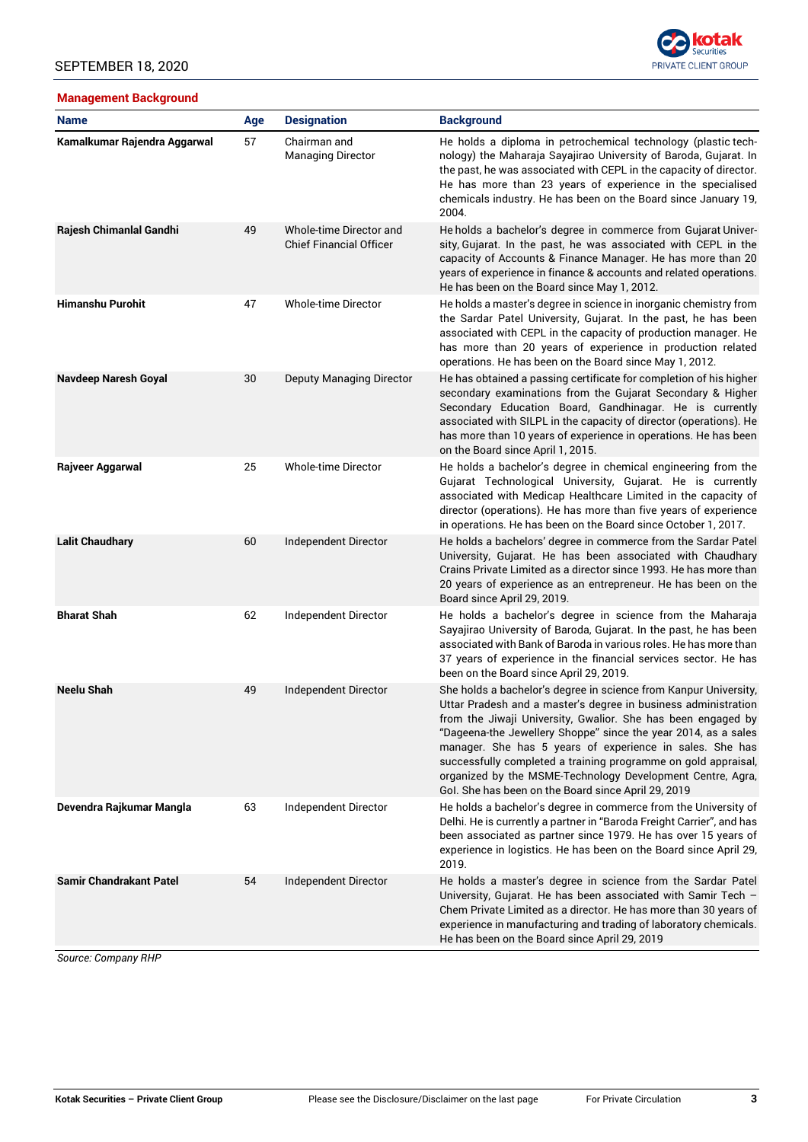## SEPTEMBER 18, 2020

# **Management Background**



| <b>Name</b>                    | Age | <b>Designation</b>                                        | <b>Background</b>                                                                                                                                                                                                                                                                                                                                                                                                                                                                                                       |
|--------------------------------|-----|-----------------------------------------------------------|-------------------------------------------------------------------------------------------------------------------------------------------------------------------------------------------------------------------------------------------------------------------------------------------------------------------------------------------------------------------------------------------------------------------------------------------------------------------------------------------------------------------------|
| Kamalkumar Rajendra Aggarwal   | 57  | Chairman and<br><b>Managing Director</b>                  | He holds a diploma in petrochemical technology (plastic tech-<br>nology) the Maharaja Sayajirao University of Baroda, Gujarat. In<br>the past, he was associated with CEPL in the capacity of director.<br>He has more than 23 years of experience in the specialised<br>chemicals industry. He has been on the Board since January 19,<br>2004.                                                                                                                                                                        |
| Rajesh Chimanlal Gandhi        | 49  | Whole-time Director and<br><b>Chief Financial Officer</b> | He holds a bachelor's degree in commerce from Gujarat Univer-<br>sity, Gujarat. In the past, he was associated with CEPL in the<br>capacity of Accounts & Finance Manager. He has more than 20<br>years of experience in finance & accounts and related operations.<br>He has been on the Board since May 1, 2012.                                                                                                                                                                                                      |
| <b>Himanshu Purohit</b>        | 47  | <b>Whole-time Director</b>                                | He holds a master's degree in science in inorganic chemistry from<br>the Sardar Patel University, Gujarat. In the past, he has been<br>associated with CEPL in the capacity of production manager. He<br>has more than 20 years of experience in production related<br>operations. He has been on the Board since May 1, 2012.                                                                                                                                                                                          |
| Navdeep Naresh Goyal           | 30  | Deputy Managing Director                                  | He has obtained a passing certificate for completion of his higher<br>secondary examinations from the Gujarat Secondary & Higher<br>Secondary Education Board, Gandhinagar. He is currently<br>associated with SILPL in the capacity of director (operations). He<br>has more than 10 years of experience in operations. He has been<br>on the Board since April 1, 2015.                                                                                                                                               |
| Rajveer Aggarwal               | 25  | <b>Whole-time Director</b>                                | He holds a bachelor's degree in chemical engineering from the<br>Gujarat Technological University, Gujarat. He is currently<br>associated with Medicap Healthcare Limited in the capacity of<br>director (operations). He has more than five years of experience<br>in operations. He has been on the Board since October 1, 2017.                                                                                                                                                                                      |
| <b>Lalit Chaudhary</b>         | 60  | Independent Director                                      | He holds a bachelors' degree in commerce from the Sardar Patel<br>University, Gujarat. He has been associated with Chaudhary<br>Crains Private Limited as a director since 1993. He has more than<br>20 years of experience as an entrepreneur. He has been on the<br>Board since April 29, 2019.                                                                                                                                                                                                                       |
| <b>Bharat Shah</b>             | 62  | Independent Director                                      | He holds a bachelor's degree in science from the Maharaja<br>Sayajirao University of Baroda, Gujarat. In the past, he has been<br>associated with Bank of Baroda in various roles. He has more than<br>37 years of experience in the financial services sector. He has<br>been on the Board since April 29, 2019.                                                                                                                                                                                                       |
| <b>Neelu Shah</b>              | 49  | Independent Director                                      | She holds a bachelor's degree in science from Kanpur University,<br>Uttar Pradesh and a master's degree in business administration<br>from the Jiwaji University, Gwalior. She has been engaged by<br>"Dageena-the Jewellery Shoppe" since the year 2014, as a sales<br>manager. She has 5 years of experience in sales. She has<br>successfully completed a training programme on gold appraisal,<br>organized by the MSME-Technology Development Centre, Agra,<br>Gol. She has been on the Board since April 29, 2019 |
| Devendra Rajkumar Mangla       | 63  | Independent Director                                      | He holds a bachelor's degree in commerce from the University of<br>Delhi. He is currently a partner in "Baroda Freight Carrier", and has<br>been associated as partner since 1979. He has over 15 years of<br>experience in logistics. He has been on the Board since April 29,<br>2019.                                                                                                                                                                                                                                |
| <b>Samir Chandrakant Patel</b> | 54  | Independent Director                                      | He holds a master's degree in science from the Sardar Patel<br>University, Gujarat. He has been associated with Samir Tech -<br>Chem Private Limited as a director. He has more than 30 years of<br>experience in manufacturing and trading of laboratory chemicals.<br>He has been on the Board since April 29, 2019                                                                                                                                                                                                   |

*Source: Company RHP*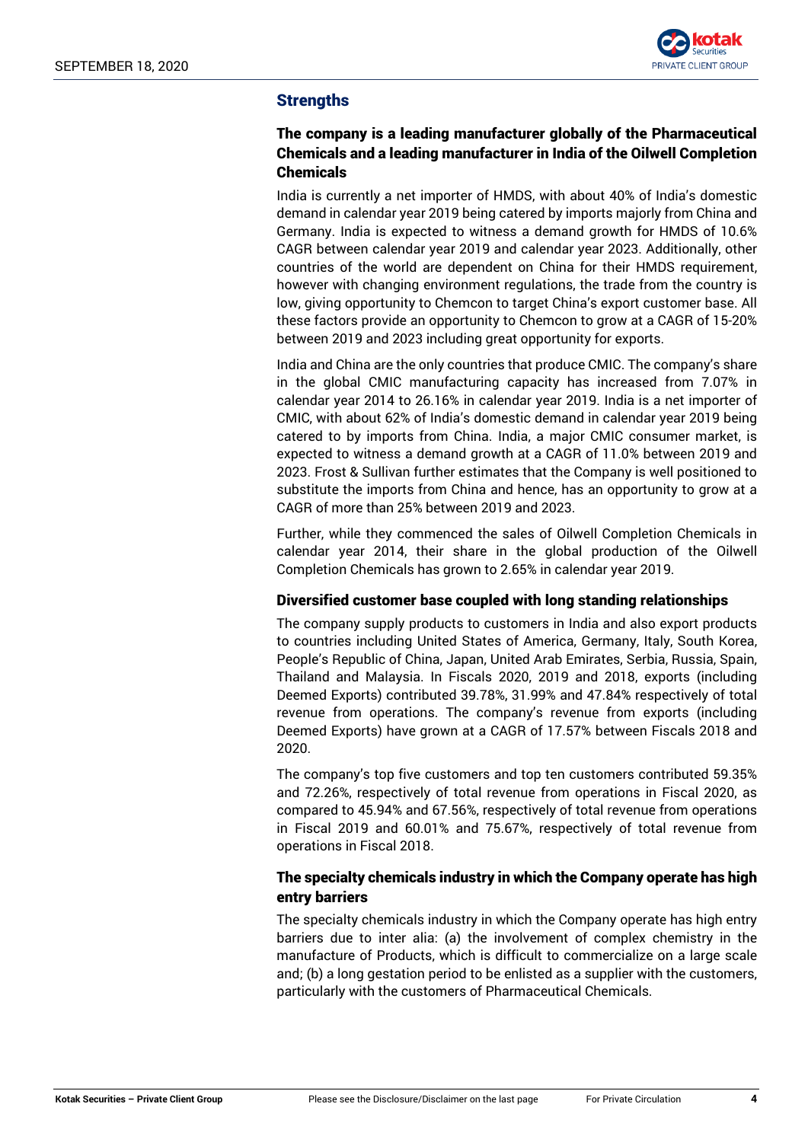

# **Strengths**

# The company is a leading manufacturer globally of the Pharmaceutical Chemicals and a leading manufacturer in India of the Oilwell Completion Chemicals

India is currently a net importer of HMDS, with about 40% of India's domestic demand in calendar year 2019 being catered by imports majorly from China and Germany. India is expected to witness a demand growth for HMDS of 10.6% CAGR between calendar year 2019 and calendar year 2023. Additionally, other countries of the world are dependent on China for their HMDS requirement, however with changing environment regulations, the trade from the country is low, giving opportunity to Chemcon to target China's export customer base. All these factors provide an opportunity to Chemcon to grow at a CAGR of 15-20% between 2019 and 2023 including great opportunity for exports.

India and China are the only countries that produce CMIC. The company's share in the global CMIC manufacturing capacity has increased from 7.07% in calendar year 2014 to 26.16% in calendar year 2019. India is a net importer of CMIC, with about 62% of India's domestic demand in calendar year 2019 being catered to by imports from China. India, a major CMIC consumer market, is expected to witness a demand growth at a CAGR of 11.0% between 2019 and 2023. Frost & Sullivan further estimates that the Company is well positioned to substitute the imports from China and hence, has an opportunity to grow at a CAGR of more than 25% between 2019 and 2023.

Further, while they commenced the sales of Oilwell Completion Chemicals in calendar year 2014, their share in the global production of the Oilwell Completion Chemicals has grown to 2.65% in calendar year 2019.

# Diversified customer base coupled with long standing relationships

The company supply products to customers in India and also export products to countries including United States of America, Germany, Italy, South Korea, People's Republic of China, Japan, United Arab Emirates, Serbia, Russia, Spain, Thailand and Malaysia. In Fiscals 2020, 2019 and 2018, exports (including Deemed Exports) contributed 39.78%, 31.99% and 47.84% respectively of total revenue from operations. The company's revenue from exports (including Deemed Exports) have grown at a CAGR of 17.57% between Fiscals 2018 and 2020.

The company's top five customers and top ten customers contributed 59.35% and 72.26%, respectively of total revenue from operations in Fiscal 2020, as compared to 45.94% and 67.56%, respectively of total revenue from operations in Fiscal 2019 and 60.01% and 75.67%, respectively of total revenue from operations in Fiscal 2018.

# The specialty chemicals industry in which the Company operate has high entry barriers

The specialty chemicals industry in which the Company operate has high entry barriers due to inter alia: (a) the involvement of complex chemistry in the manufacture of Products, which is difficult to commercialize on a large scale and; (b) a long gestation period to be enlisted as a supplier with the customers, particularly with the customers of Pharmaceutical Chemicals.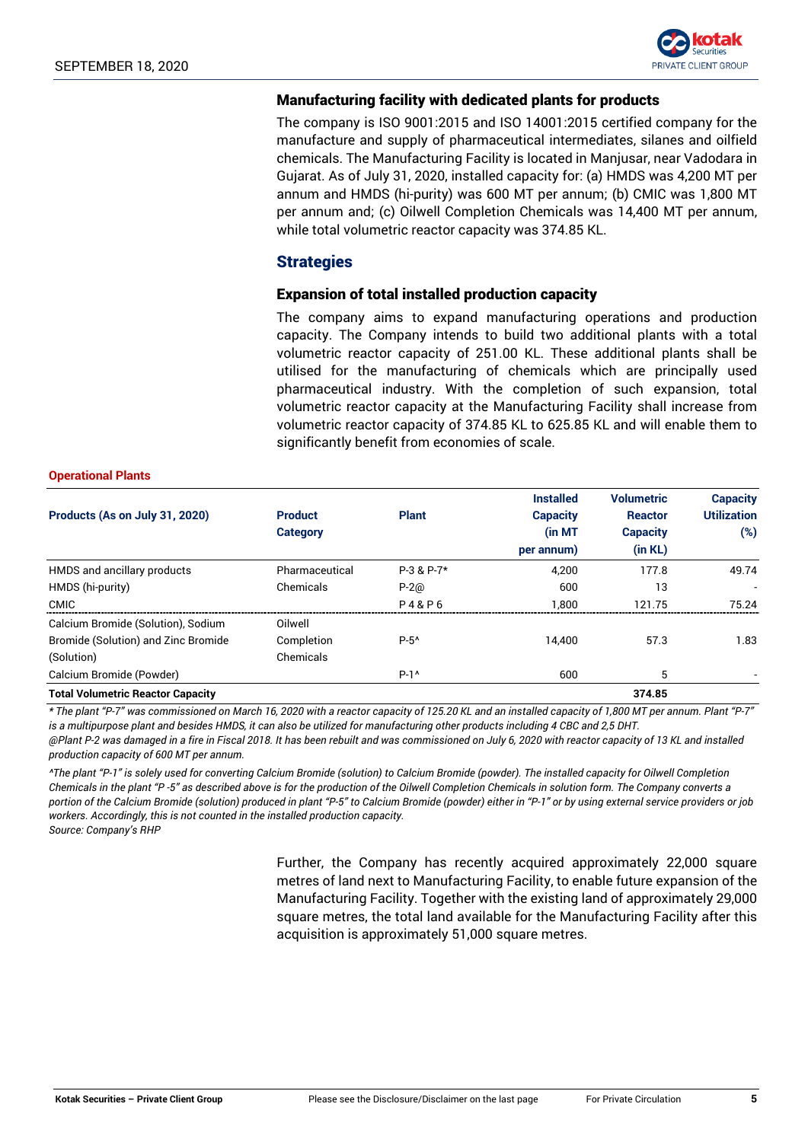

### Manufacturing facility with dedicated plants for products

The company is ISO 9001:2015 and ISO 14001:2015 certified company for the manufacture and supply of pharmaceutical intermediates, silanes and oilfield chemicals. The Manufacturing Facility is located in Manjusar, near Vadodara in Gujarat. As of July 31, 2020, installed capacity for: (a) HMDS was 4,200 MT per annum and HMDS (hi-purity) was 600 MT per annum; (b) CMIC was 1,800 MT per annum and; (c) Oilwell Completion Chemicals was 14,400 MT per annum, while total volumetric reactor capacity was 374.85 KL.

## **Strategies**

### Expansion of total installed production capacity

The company aims to expand manufacturing operations and production capacity. The Company intends to build two additional plants with a total volumetric reactor capacity of 251.00 KL. These additional plants shall be utilised for the manufacturing of chemicals which are principally used pharmaceutical industry. With the completion of such expansion, total volumetric reactor capacity at the Manufacturing Facility shall increase from volumetric reactor capacity of 374.85 KL to 625.85 KL and will enable them to significantly benefit from economies of scale.

#### **Operational Plants**

|                                          |                 |                  | <b>Installed</b> | <b>Volumetric</b> | <b>Capacity</b>    |
|------------------------------------------|-----------------|------------------|------------------|-------------------|--------------------|
| Products (As on July 31, 2020)           | <b>Product</b>  | <b>Plant</b>     | <b>Capacity</b>  | <b>Reactor</b>    | <b>Utilization</b> |
|                                          | <b>Category</b> |                  | (in MT           | <b>Capacity</b>   | $(\%)$             |
|                                          |                 |                  | per annum)       | (in KL)           |                    |
| HMDS and ancillary products              | Pharmaceutical  | $P-3$ & $P-7*$   | 4.200            | 177.8             | 49.74              |
| HMDS (hi-purity)                         | Chemicals       | $P-2@$           | 600              | 13                |                    |
| <b>CMIC</b>                              |                 | <b>P4&amp;P6</b> | 1.800            | 121.75            | 75.24              |
| Calcium Bromide (Solution), Sodium       | Oilwell         |                  |                  |                   |                    |
| Bromide (Solution) and Zinc Bromide      | Completion      | $P-5^{\prime}$   | 14.400           | 57.3              | 1.83               |
| (Solution)                               | Chemicals       |                  |                  |                   |                    |
| Calcium Bromide (Powder)                 |                 | $P-1^{\wedge}$   | 600              | 5                 |                    |
| <b>Total Volumetric Reactor Capacity</b> |                 |                  |                  | 374.85            |                    |

*\* The plant "P-7" was commissioned on March 16, 2020 with a reactor capacity of 125.20 KL and an installed capacity of 1,800 MT per annum. Plant "P-7" is a multipurpose plant and besides HMDS, it can also be utilized for manufacturing other products including 4 CBC and 2,5 DHT.*

*@Plant P-2 was damaged in a fire in Fiscal 2018. It has been rebuilt and was commissioned on July 6, 2020 with reactor capacity of 13 KL and installed production capacity of 600 MT per annum.*

*^The plant "P-1" is solely used for converting Calcium Bromide (solution) to Calcium Bromide (powder). The installed capacity for Oilwell Completion Chemicals in the plant "P -5" as described above is for the production of the Oilwell Completion Chemicals in solution form. The Company converts a portion of the Calcium Bromide (solution) produced in plant "P-5" to Calcium Bromide (powder) either in "P-1" or by using external service providers or job workers. Accordingly, this is not counted in the installed production capacity. Source: Company's RHP*

> Further, the Company has recently acquired approximately 22,000 square metres of land next to Manufacturing Facility, to enable future expansion of the Manufacturing Facility. Together with the existing land of approximately 29,000 square metres, the total land available for the Manufacturing Facility after this acquisition is approximately 51,000 square metres.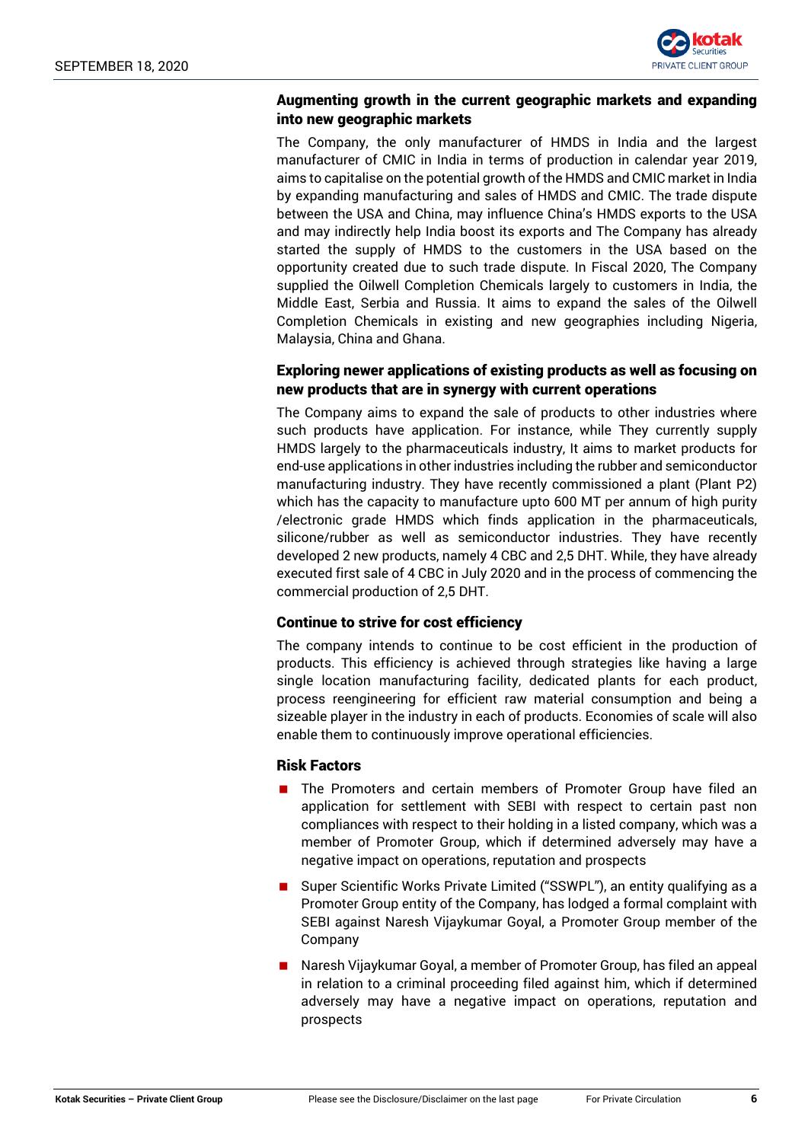

# Augmenting growth in the current geographic markets and expanding into new geographic markets

The Company, the only manufacturer of HMDS in India and the largest manufacturer of CMIC in India in terms of production in calendar year 2019, aims to capitalise on the potential growth of the HMDS and CMIC market in India by expanding manufacturing and sales of HMDS and CMIC. The trade dispute between the USA and China, may influence China's HMDS exports to the USA and may indirectly help India boost its exports and The Company has already started the supply of HMDS to the customers in the USA based on the opportunity created due to such trade dispute. In Fiscal 2020, The Company supplied the Oilwell Completion Chemicals largely to customers in India, the Middle East, Serbia and Russia. It aims to expand the sales of the Oilwell Completion Chemicals in existing and new geographies including Nigeria, Malaysia, China and Ghana.

# Exploring newer applications of existing products as well as focusing on new products that are in synergy with current operations

The Company aims to expand the sale of products to other industries where such products have application. For instance, while They currently supply HMDS largely to the pharmaceuticals industry, It aims to market products for end-use applications in other industries including the rubber and semiconductor manufacturing industry. They have recently commissioned a plant (Plant P2) which has the capacity to manufacture upto 600 MT per annum of high purity /electronic grade HMDS which finds application in the pharmaceuticals, silicone/rubber as well as semiconductor industries. They have recently developed 2 new products, namely 4 CBC and 2,5 DHT. While, they have already executed first sale of 4 CBC in July 2020 and in the process of commencing the commercial production of 2,5 DHT.

### Continue to strive for cost efficiency

The company intends to continue to be cost efficient in the production of products. This efficiency is achieved through strategies like having a large single location manufacturing facility, dedicated plants for each product, process reengineering for efficient raw material consumption and being a sizeable player in the industry in each of products. Economies of scale will also enable them to continuously improve operational efficiencies.

### Risk Factors

- **The Promoters and certain members of Promoter Group have filed an** application for settlement with SEBI with respect to certain past non compliances with respect to their holding in a listed company, which was a member of Promoter Group, which if determined adversely may have a negative impact on operations, reputation and prospects
- Super Scientific Works Private Limited ("SSWPL"), an entity qualifying as a Promoter Group entity of the Company, has lodged a formal complaint with SEBI against Naresh Vijaykumar Goyal, a Promoter Group member of the Company
- Naresh Vijaykumar Goyal, a member of Promoter Group, has filed an appeal in relation to a criminal proceeding filed against him, which if determined adversely may have a negative impact on operations, reputation and prospects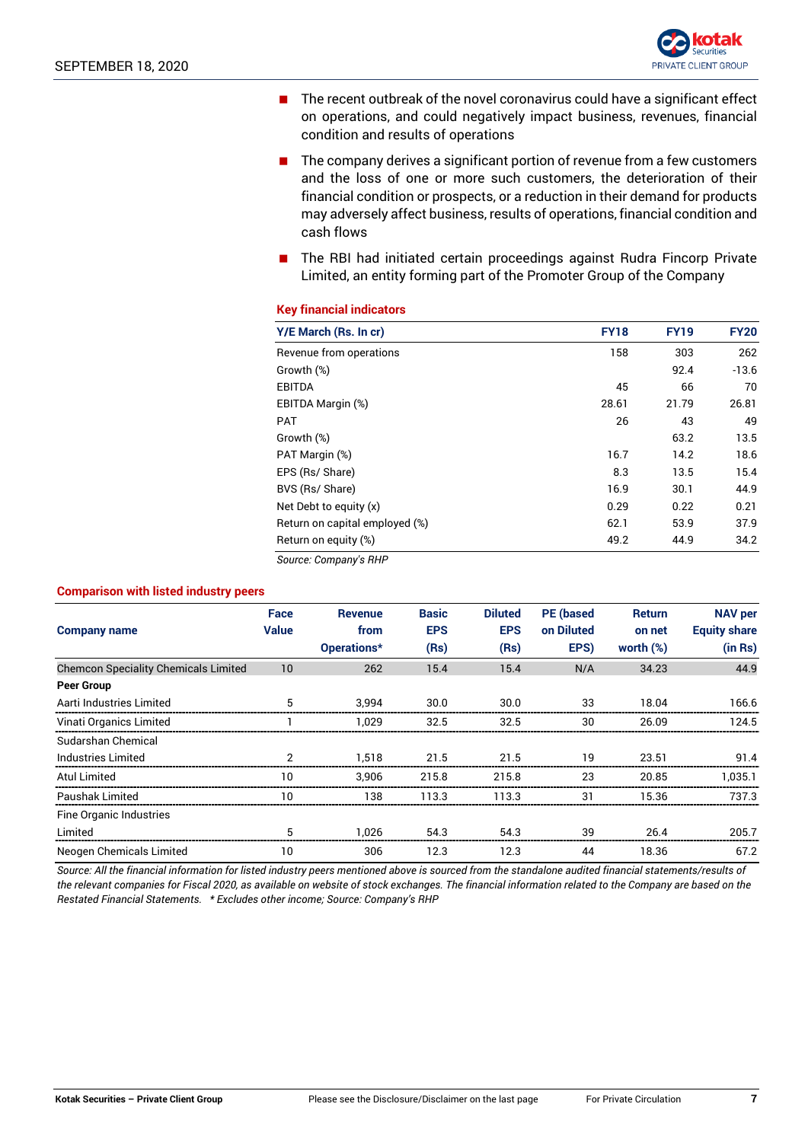

- $\blacksquare$  The recent outbreak of the novel coronavirus could have a significant effect on operations, and could negatively impact business, revenues, financial condition and results of operations
- $\blacksquare$  The company derives a significant portion of revenue from a few customers and the loss of one or more such customers, the deterioration of their financial condition or prospects, or a reduction in their demand for products may adversely affect business, results of operations, financial condition and cash flows
- **The RBI had initiated certain proceedings against Rudra Fincorp Private** Limited, an entity forming part of the Promoter Group of the Company

#### **Key financial indicators**

| Y/E March (Rs. In cr)          | <b>FY18</b> | <b>FY19</b> | <b>FY20</b> |
|--------------------------------|-------------|-------------|-------------|
| Revenue from operations        | 158         | 303         | 262         |
| Growth (%)                     |             | 92.4        | $-13.6$     |
| <b>EBITDA</b>                  | 45          | 66          | 70          |
| EBITDA Margin (%)              | 28.61       | 21.79       | 26.81       |
| <b>PAT</b>                     | 26          | 43          | 49          |
| Growth (%)                     |             | 63.2        | 13.5        |
| PAT Margin (%)                 | 16.7        | 14.2        | 18.6        |
| EPS (Rs/ Share)                | 8.3         | 13.5        | 15.4        |
| BVS (Rs/ Share)                | 16.9        | 30.1        | 44.9        |
| Net Debt to equity (x)         | 0.29        | 0.22        | 0.21        |
| Return on capital employed (%) | 62.1        | 53.9        | 37.9        |
| Return on equity (%)           | 49.2        | 44.9        | 34.2        |

*Source: Company's RHP*

#### **Comparison with listed industry peers**

| <b>Company name</b>                         | Face<br><b>Value</b> | <b>Revenue</b><br>from<br>Operations* | <b>Basic</b><br><b>EPS</b><br>(Rs) | <b>Diluted</b><br><b>EPS</b><br>(Rs) | <b>PE</b> (based<br>on Diluted<br>EPS) | <b>Return</b><br>on net<br>worth $(\%)$ | <b>NAV per</b><br><b>Equity share</b><br>(in Rs) |
|---------------------------------------------|----------------------|---------------------------------------|------------------------------------|--------------------------------------|----------------------------------------|-----------------------------------------|--------------------------------------------------|
| <b>Chemcon Speciality Chemicals Limited</b> | 10                   | 262                                   | 15.4                               | 15.4                                 | N/A                                    | 34.23                                   | 44.9                                             |
| <b>Peer Group</b>                           |                      |                                       |                                    |                                      |                                        |                                         |                                                  |
| Aarti Industries Limited                    | 5                    | 3.994                                 | 30.0                               | 30.0                                 | 33                                     | 18.04                                   | 166.6                                            |
| Vinati Organics Limited                     |                      | 1.029                                 | 32.5                               | 32.5                                 | 30                                     | 26.09                                   | 124.5                                            |
| Sudarshan Chemical                          |                      |                                       |                                    |                                      |                                        |                                         |                                                  |
| Industries Limited                          |                      | 1.518                                 | 21.5                               | 21.5                                 | 19                                     | 23.51                                   | 91.4                                             |
| Atul Limited                                | 10                   | 3.906                                 | 215.8                              | 215.8                                | 23                                     | 20.85                                   | 1.035.1                                          |
| Paushak Limited                             | 10                   | 138                                   | 113.3                              | 113.3                                | 31                                     | 15.36                                   | 737.3                                            |
| Fine Organic Industries                     |                      |                                       |                                    |                                      |                                        |                                         |                                                  |
| Limited                                     |                      | 1.026                                 | 54.3                               | 54.3                                 | 39                                     | 26.4                                    | 205.7                                            |
| Neogen Chemicals Limited                    | 10                   | 306                                   | 12.3                               | 12.3                                 | 44                                     | 18.36                                   | 67.2                                             |

*Source: All the financial information for listed industry peers mentioned above is sourced from the standalone audited financial statements/results of the relevant companies for Fiscal 2020, as available on website of stock exchanges. The financial information related to the Company are based on the Restated Financial Statements. \* Excludes other income; Source: Company's RHP*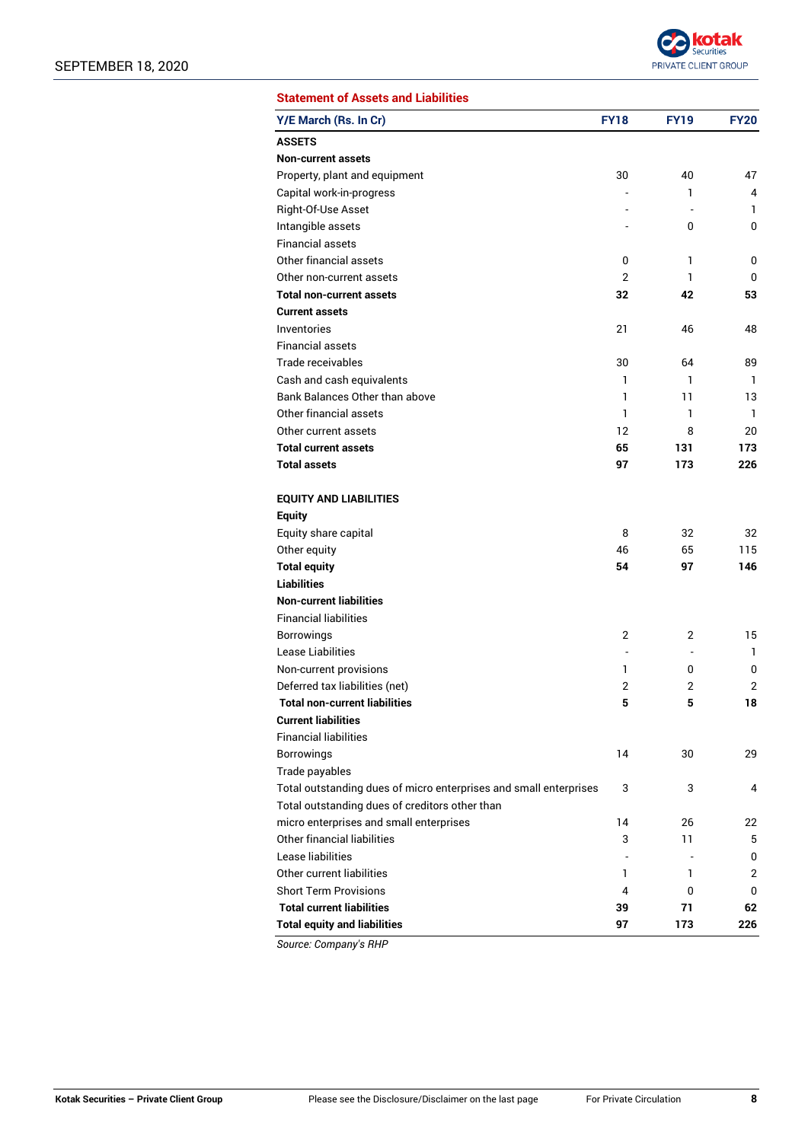

| <b>Statement of Assets and Liabilities</b> |  |
|--------------------------------------------|--|
|                                            |  |

| <b>ASSETS</b><br><b>Non-current assets</b><br>Property, plant and equipment<br>30<br>40<br>47<br>Capital work-in-progress<br>1<br>4<br>Right-Of-Use Asset<br>1.<br>Intangible assets<br>0<br>0<br><b>Financial assets</b><br>Other financial assets<br>1<br>0<br>0<br>2<br>1<br>Other non-current assets<br>0<br>42<br><b>Total non-current assets</b><br>32<br>53<br><b>Current assets</b><br>Inventories<br>21<br>46<br>48<br><b>Financial assets</b><br>Trade receivables<br>30<br>64<br>89<br>Cash and cash equivalents<br>1<br>1<br>1<br>Bank Balances Other than above<br>1<br>11<br>13<br>Other financial assets<br>1<br>1<br>1<br>Other current assets<br>12<br>8<br>20<br><b>Total current assets</b><br>65<br>131<br>173<br><b>Total assets</b><br>97<br>173<br>226<br><b>EQUITY AND LIABILITIES</b><br><b>Equity</b> |
|---------------------------------------------------------------------------------------------------------------------------------------------------------------------------------------------------------------------------------------------------------------------------------------------------------------------------------------------------------------------------------------------------------------------------------------------------------------------------------------------------------------------------------------------------------------------------------------------------------------------------------------------------------------------------------------------------------------------------------------------------------------------------------------------------------------------------------|
|                                                                                                                                                                                                                                                                                                                                                                                                                                                                                                                                                                                                                                                                                                                                                                                                                                 |
|                                                                                                                                                                                                                                                                                                                                                                                                                                                                                                                                                                                                                                                                                                                                                                                                                                 |
|                                                                                                                                                                                                                                                                                                                                                                                                                                                                                                                                                                                                                                                                                                                                                                                                                                 |
|                                                                                                                                                                                                                                                                                                                                                                                                                                                                                                                                                                                                                                                                                                                                                                                                                                 |
|                                                                                                                                                                                                                                                                                                                                                                                                                                                                                                                                                                                                                                                                                                                                                                                                                                 |
|                                                                                                                                                                                                                                                                                                                                                                                                                                                                                                                                                                                                                                                                                                                                                                                                                                 |
|                                                                                                                                                                                                                                                                                                                                                                                                                                                                                                                                                                                                                                                                                                                                                                                                                                 |
|                                                                                                                                                                                                                                                                                                                                                                                                                                                                                                                                                                                                                                                                                                                                                                                                                                 |
|                                                                                                                                                                                                                                                                                                                                                                                                                                                                                                                                                                                                                                                                                                                                                                                                                                 |
|                                                                                                                                                                                                                                                                                                                                                                                                                                                                                                                                                                                                                                                                                                                                                                                                                                 |
|                                                                                                                                                                                                                                                                                                                                                                                                                                                                                                                                                                                                                                                                                                                                                                                                                                 |
|                                                                                                                                                                                                                                                                                                                                                                                                                                                                                                                                                                                                                                                                                                                                                                                                                                 |
|                                                                                                                                                                                                                                                                                                                                                                                                                                                                                                                                                                                                                                                                                                                                                                                                                                 |
|                                                                                                                                                                                                                                                                                                                                                                                                                                                                                                                                                                                                                                                                                                                                                                                                                                 |
|                                                                                                                                                                                                                                                                                                                                                                                                                                                                                                                                                                                                                                                                                                                                                                                                                                 |
|                                                                                                                                                                                                                                                                                                                                                                                                                                                                                                                                                                                                                                                                                                                                                                                                                                 |
|                                                                                                                                                                                                                                                                                                                                                                                                                                                                                                                                                                                                                                                                                                                                                                                                                                 |
|                                                                                                                                                                                                                                                                                                                                                                                                                                                                                                                                                                                                                                                                                                                                                                                                                                 |
|                                                                                                                                                                                                                                                                                                                                                                                                                                                                                                                                                                                                                                                                                                                                                                                                                                 |
|                                                                                                                                                                                                                                                                                                                                                                                                                                                                                                                                                                                                                                                                                                                                                                                                                                 |
|                                                                                                                                                                                                                                                                                                                                                                                                                                                                                                                                                                                                                                                                                                                                                                                                                                 |
|                                                                                                                                                                                                                                                                                                                                                                                                                                                                                                                                                                                                                                                                                                                                                                                                                                 |
|                                                                                                                                                                                                                                                                                                                                                                                                                                                                                                                                                                                                                                                                                                                                                                                                                                 |
| Equity share capital<br>8<br>32<br>32                                                                                                                                                                                                                                                                                                                                                                                                                                                                                                                                                                                                                                                                                                                                                                                           |
| Other equity<br>65<br>46<br>115                                                                                                                                                                                                                                                                                                                                                                                                                                                                                                                                                                                                                                                                                                                                                                                                 |
| <b>Total equity</b><br>54<br>97<br>146                                                                                                                                                                                                                                                                                                                                                                                                                                                                                                                                                                                                                                                                                                                                                                                          |
| <b>Liabilities</b>                                                                                                                                                                                                                                                                                                                                                                                                                                                                                                                                                                                                                                                                                                                                                                                                              |
| <b>Non-current liabilities</b>                                                                                                                                                                                                                                                                                                                                                                                                                                                                                                                                                                                                                                                                                                                                                                                                  |
| <b>Financial liabilities</b>                                                                                                                                                                                                                                                                                                                                                                                                                                                                                                                                                                                                                                                                                                                                                                                                    |
| <b>Borrowings</b><br>2<br>15<br>2                                                                                                                                                                                                                                                                                                                                                                                                                                                                                                                                                                                                                                                                                                                                                                                               |
| Lease Liabilities<br>1.                                                                                                                                                                                                                                                                                                                                                                                                                                                                                                                                                                                                                                                                                                                                                                                                         |
| Non-current provisions<br>1<br>0<br>0                                                                                                                                                                                                                                                                                                                                                                                                                                                                                                                                                                                                                                                                                                                                                                                           |
| Deferred tax liabilities (net)<br>2<br>2<br>2                                                                                                                                                                                                                                                                                                                                                                                                                                                                                                                                                                                                                                                                                                                                                                                   |
| <b>Total non-current liabilities</b><br>5<br>5<br>18                                                                                                                                                                                                                                                                                                                                                                                                                                                                                                                                                                                                                                                                                                                                                                            |
| <b>Current liabilities</b>                                                                                                                                                                                                                                                                                                                                                                                                                                                                                                                                                                                                                                                                                                                                                                                                      |
| <b>Financial liabilities</b>                                                                                                                                                                                                                                                                                                                                                                                                                                                                                                                                                                                                                                                                                                                                                                                                    |
| <b>Borrowings</b><br>14<br>30<br>29                                                                                                                                                                                                                                                                                                                                                                                                                                                                                                                                                                                                                                                                                                                                                                                             |
| Trade payables                                                                                                                                                                                                                                                                                                                                                                                                                                                                                                                                                                                                                                                                                                                                                                                                                  |
| Total outstanding dues of micro enterprises and small enterprises<br>3<br>3<br>4                                                                                                                                                                                                                                                                                                                                                                                                                                                                                                                                                                                                                                                                                                                                                |
| Total outstanding dues of creditors other than                                                                                                                                                                                                                                                                                                                                                                                                                                                                                                                                                                                                                                                                                                                                                                                  |
| micro enterprises and small enterprises<br>14<br>26<br>22                                                                                                                                                                                                                                                                                                                                                                                                                                                                                                                                                                                                                                                                                                                                                                       |
| Other financial liabilities<br>3<br>11<br>5                                                                                                                                                                                                                                                                                                                                                                                                                                                                                                                                                                                                                                                                                                                                                                                     |
| Lease liabilities<br>0                                                                                                                                                                                                                                                                                                                                                                                                                                                                                                                                                                                                                                                                                                                                                                                                          |
| Other current liabilities<br>2<br>1<br>1                                                                                                                                                                                                                                                                                                                                                                                                                                                                                                                                                                                                                                                                                                                                                                                        |
| <b>Short Term Provisions</b><br>4<br>0<br>0                                                                                                                                                                                                                                                                                                                                                                                                                                                                                                                                                                                                                                                                                                                                                                                     |
| <b>Total current liabilities</b><br>39<br>71<br>62                                                                                                                                                                                                                                                                                                                                                                                                                                                                                                                                                                                                                                                                                                                                                                              |
| <b>Total equity and liabilities</b><br>97<br>173<br>226                                                                                                                                                                                                                                                                                                                                                                                                                                                                                                                                                                                                                                                                                                                                                                         |

*Source: Company's RHP*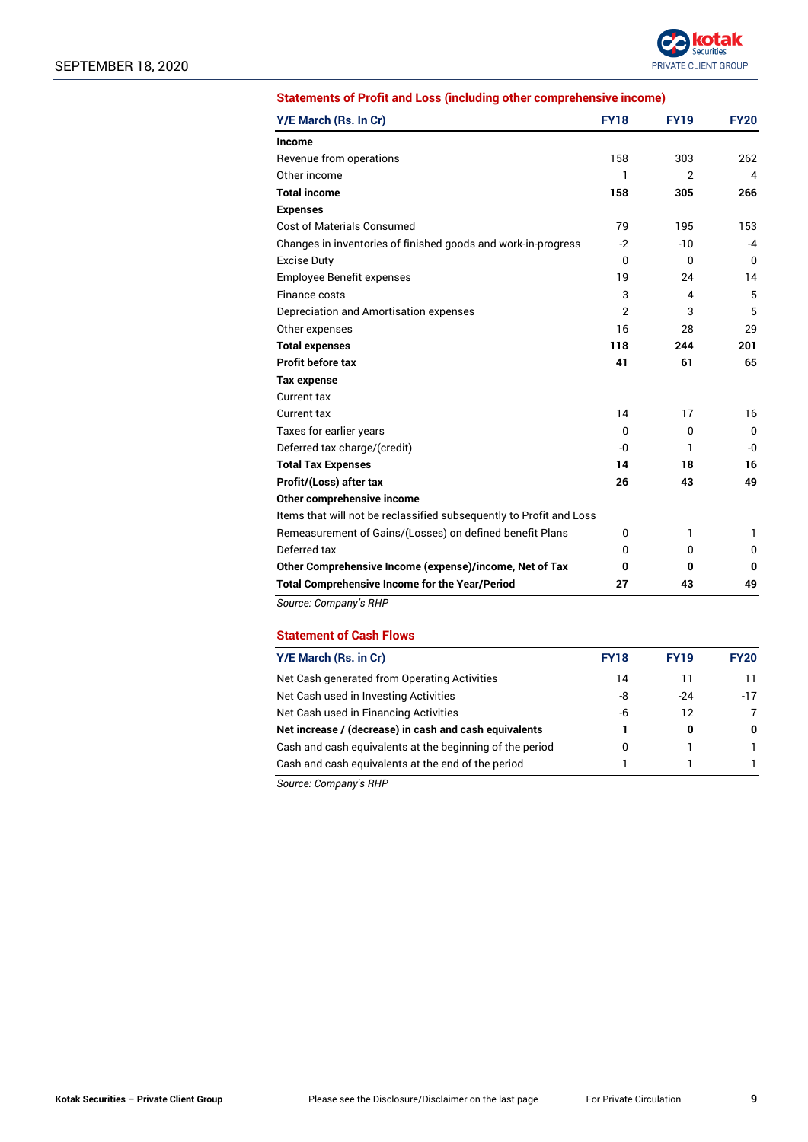

#### **Statements of Profit and Loss (including other comprehensive income)**

| Y/E March (Rs. In Cr)                                               | <b>FY18</b>    | <b>FY19</b>            | <b>FY20</b>  |
|---------------------------------------------------------------------|----------------|------------------------|--------------|
| Income                                                              |                |                        |              |
| Revenue from operations                                             | 158            | 303                    | 262          |
| Other income                                                        | 1              | $\overline{2}$         | 4            |
| <b>Total income</b>                                                 | 158            | 305                    | 266          |
| <b>Expenses</b>                                                     |                |                        |              |
| <b>Cost of Materials Consumed</b>                                   | 79             | 195                    | 153          |
| Changes in inventories of finished goods and work-in-progress       | $-2$           | $-10$                  | $-4$         |
| <b>Excise Duty</b>                                                  | $\mathbf{0}$   | 0                      | 0            |
| Employee Benefit expenses                                           | 19             | 24                     | 14           |
| Finance costs                                                       | 3              | $\boldsymbol{\Lambda}$ | 5            |
| Depreciation and Amortisation expenses                              | $\overline{2}$ | 3                      | 5            |
| Other expenses                                                      | 16             | 28                     | 29           |
| <b>Total expenses</b>                                               | 118            | 244                    | 201          |
| <b>Profit before tax</b>                                            | 41             | 61                     | 65           |
| <b>Tax expense</b>                                                  |                |                        |              |
| Current tax                                                         |                |                        |              |
| Current tax                                                         | 14             | 17                     | 16           |
| Taxes for earlier years                                             | 0              | 0                      | $\mathbf{0}$ |
| Deferred tax charge/(credit)                                        | -0             | 1                      | -0           |
| <b>Total Tax Expenses</b>                                           | 14             | 18                     | 16           |
| Profit/(Loss) after tax                                             | 26             | 43                     | 49           |
| Other comprehensive income                                          |                |                        |              |
| Items that will not be reclassified subsequently to Profit and Loss |                |                        |              |
| Remeasurement of Gains/(Losses) on defined benefit Plans            | 0              | 1                      | 1            |
| Deferred tax                                                        | 0              | 0                      | 0            |
| Other Comprehensive Income (expense)/income, Net of Tax             | 0              | 0                      | 0            |
| <b>Total Comprehensive Income for the Year/Period</b>               | 27             | 43                     | 49           |

*Source: Company's RHP*

### **Statement of Cash Flows**

| Y/E March (Rs. in Cr)                                    | <b>FY18</b> | <b>FY19</b> | <b>FY20</b> |
|----------------------------------------------------------|-------------|-------------|-------------|
| Net Cash generated from Operating Activities             | 14          |             |             |
| Net Cash used in Investing Activities                    | -8          | $-24$       | $-17$       |
| Net Cash used in Financing Activities                    | -6          | 12          |             |
| Net increase / (decrease) in cash and cash equivalents   |             | 0           | 0           |
| Cash and cash equivalents at the beginning of the period | 0           |             |             |
| Cash and cash equivalents at the end of the period       |             |             |             |

*Source: Company's RHP*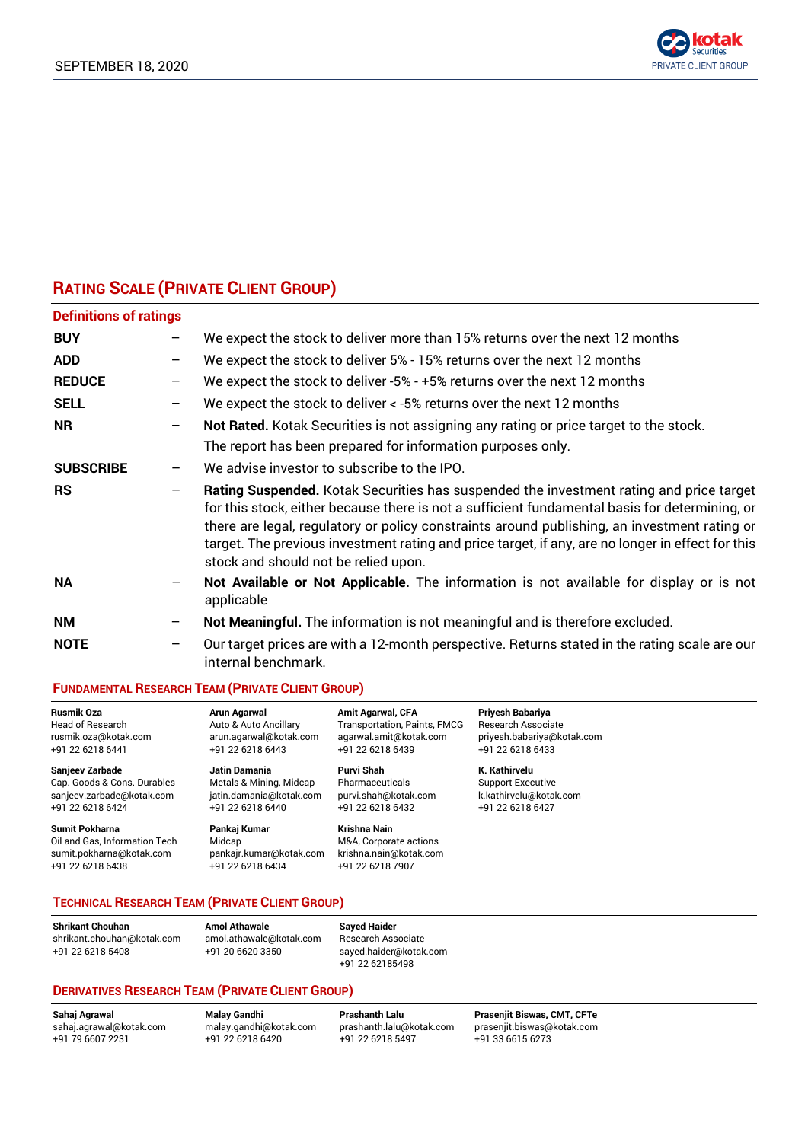

# **RATING SCALE (PRIVATE CLIENT GROUP)**

| <b>Definitions of ratings</b> |   |                                                                                                                                                                                                                                                                                                                                                                                                                                        |
|-------------------------------|---|----------------------------------------------------------------------------------------------------------------------------------------------------------------------------------------------------------------------------------------------------------------------------------------------------------------------------------------------------------------------------------------------------------------------------------------|
| <b>BUY</b>                    |   | We expect the stock to deliver more than 15% returns over the next 12 months                                                                                                                                                                                                                                                                                                                                                           |
| <b>ADD</b>                    |   | We expect the stock to deliver 5% - 15% returns over the next 12 months                                                                                                                                                                                                                                                                                                                                                                |
| <b>REDUCE</b>                 | - | We expect the stock to deliver -5% - +5% returns over the next 12 months                                                                                                                                                                                                                                                                                                                                                               |
| <b>SELL</b>                   |   | We expect the stock to deliver < -5% returns over the next 12 months                                                                                                                                                                                                                                                                                                                                                                   |
| <b>NR</b>                     | - | Not Rated. Kotak Securities is not assigning any rating or price target to the stock.<br>The report has been prepared for information purposes only.                                                                                                                                                                                                                                                                                   |
| <b>SUBSCRIBE</b>              | - | We advise investor to subscribe to the IPO.                                                                                                                                                                                                                                                                                                                                                                                            |
| <b>RS</b>                     |   | Rating Suspended. Kotak Securities has suspended the investment rating and price target<br>for this stock, either because there is not a sufficient fundamental basis for determining, or<br>there are legal, regulatory or policy constraints around publishing, an investment rating or<br>target. The previous investment rating and price target, if any, are no longer in effect for this<br>stock and should not be relied upon. |
| <b>NA</b>                     |   | Not Available or Not Applicable. The information is not available for display or is not<br>applicable                                                                                                                                                                                                                                                                                                                                  |
| <b>NM</b>                     |   | Not Meaningful. The information is not meaningful and is therefore excluded.                                                                                                                                                                                                                                                                                                                                                           |
| <b>NOTE</b>                   | - | Our target prices are with a 12-month perspective. Returns stated in the rating scale are our<br>internal benchmark.                                                                                                                                                                                                                                                                                                                   |

### **FUNDAMENTAL RESEARCH TEAM (PRIVATE CLIENT GROUP)**

| <b>Rusmik Oza</b>             | Arun Agarwal            | <b>Amit Agarwal, CFA</b>     | Priyesh Babariya           |
|-------------------------------|-------------------------|------------------------------|----------------------------|
| <b>Head of Research</b>       | Auto & Auto Ancillary   | Transportation, Paints, FMCG | <b>Research Associate</b>  |
| rusmik.oza@kotak.com          | arun.agarwal@kotak.com  | agarwal.amit@kotak.com       | priyesh.babariya@kotak.com |
| +91 22 6218 6441              | +91 22 6218 6443        | +91 22 6218 6439             | +91 22 6218 6433           |
| <b>Sanjeev Zarbade</b>        | Jatin Damania           | Purvi Shah                   | K. Kathirvelu              |
| Cap. Goods & Cons. Durables   | Metals & Mining, Midcap | Pharmaceuticals              | <b>Support Executive</b>   |
| sanjeev.zarbade@kotak.com     | jatin.damania@kotak.com | purvi.shah@kotak.com         | k.kathirvelu@kotak.com     |
| +91 22 6218 6424              | +91 22 6218 6440        | +91 22 6218 6432             | +91 22 6218 6427           |
| <b>Sumit Pokharna</b>         | Pankaj Kumar            | Krishna Nain                 |                            |
| Oil and Gas, Information Tech | Midcap                  | M&A, Corporate actions       |                            |
| sumit.pokharna@kotak.com      | pankajr.kumar@kotak.com | krishna.nain@kotak.com       |                            |
| +91 22 6218 6438              | +91 22 6218 6434        | +91 22 6218 7907             |                            |

### **TECHNICAL RESEARCH TEAM (PRIVATE CLIENT GROUP)**

| <b>Shrikant Chouhan</b>   |
|---------------------------|
| shrikant.chouhan@kotak.co |
| +91 22 6218 5408          |

**Shrikant Chouhan Amol Athawale Sayed Haider** shrikant.chouhan@kotak.com amol.athawale@kotak.com Research Associate

+91 22 6218 5408 +91 20 6620 3350 sayed.haider@kotak.com +91 22 62185498

### **DERIVATIVES RESEARCH TEAM (PRIVATE CLIENT GROUP)**

 $+91$  22 6218 5497

**Sahaj Agrawal Malay Gandhi Prashanth Lalu Prasenjit Biswas, CMT, CFTe** [sahaj.agrawal@kotak.com](mailto:sahaj.agrawal@kotak.com) [malay.gandhi@kotak.com](mailto:malay.gandhi@kotak.com) [prashanth.lalu@kotak.com](mailto:prashanth.lalu@kotak.com) [prasenjit.biswas@kotak.com](mailto:prasenjit.biswas@kotak.com)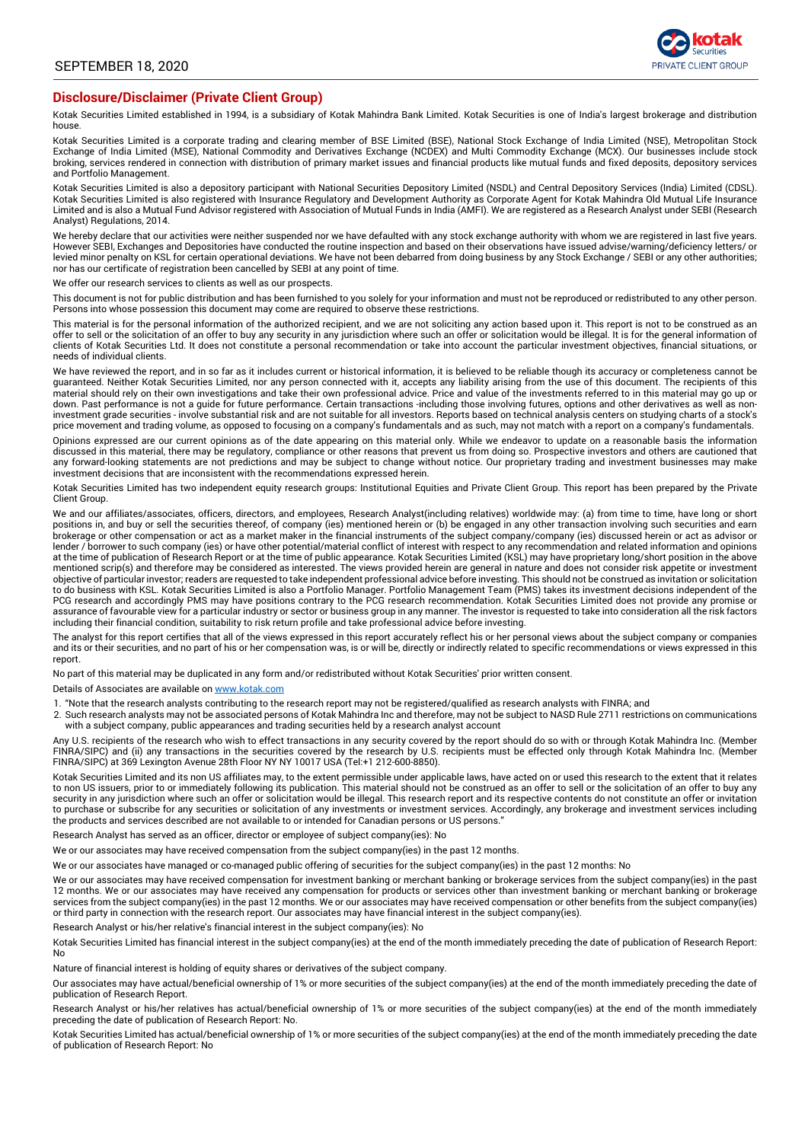

#### **Disclosure/Disclaimer (Private Client Group)**

Kotak Securities Limited established in 1994, is a subsidiary of Kotak Mahindra Bank Limited. Kotak Securities is one of India's largest brokerage and distribution house.

Kotak Securities Limited is a corporate trading and clearing member of BSE Limited (BSE), National Stock Exchange of India Limited (NSE), Metropolitan Stock Exchange of India Limited (MSE), National Commodity and Derivatives Exchange (NCDEX) and Multi Commodity Exchange (MCX). Our businesses include stock broking, services rendered in connection with distribution of primary market issues and financial products like mutual funds and fixed deposits, depository services and Portfolio Management.

Kotak Securities Limited is also a depository participant with National Securities Depository Limited (NSDL) and Central Depository Services (India) Limited (CDSL).<br>Kotak Securities Limited is also registered with Insuranc Limited and is also a Mutual Fund Advisor registered with Association of Mutual Funds in India (AMFI). We are registered as a Research Analyst under SEBI (Research Analyst) Regulations, 2014.

We hereby declare that our activities were neither suspended nor we have defaulted with any stock exchange authority with whom we are registered in last five years. However SEBI, Exchanges and Depositories have conducted the routine inspection and based on their observations have issued advise/warning/deficiency letters/ or levied minor penalty on KSL for certain operational deviations. We have not been debarred from doing business by any Stock Exchange / SEBI or any other authorities; nor has our certificate of registration been cancelled by SEBI at any point of time.

We offer our research services to clients as well as our prospects.

This document is not for public distribution and has been furnished to you solely for your information and must not be reproduced or redistributed to any other person.<br>Persons into whose possession this document may come a

This material is for the personal information of the authorized recipient, and we are not soliciting any action based upon it. This report is not to be construed as an offer to sell or the solicitation of an offer to buy any security in any jurisdiction where such an offer or solicitation would be illegal. It is for the general information of clients of Kotak Securities Ltd. It does not constitute a personal recommendation or take into account the particular investment objectives, financial situations, or needs of individual clients.

We have reviewed the report, and in so far as it includes current or historical information, it is believed to be reliable though its accuracy or completeness cannot be guaranteed. Neither Kotak Securities Limited, nor any person connected with it, accepts any liability arising from the use of this document. The recipients of this material should rely on their own investigations and take their own professional advice. Price and value of the investments referred to in this material may go up or down. Past performance is not a guide for future performance. Certain transactions -including those involving futures, options and other derivatives as well as noninvestment grade securities - involve substantial risk and are not suitable for all investors. Reports based on technical analysis centers on studying charts of a stock's price movement and trading volume, as opposed to focusing on a company's fundamentals and as such, may not match with a report on a company's fundamentals.

Opinions expressed are our current opinions as of the date appearing on this material only. While we endeavor to update on a reasonable basis the information discussed in this material, there may be regulatory, compliance or other reasons that prevent us from doing so. Prospective investors and others are cautioned that any forward-looking statements are not predictions and may be subject to change without notice. Our proprietary trading and investment businesses may make investment decisions that are inconsistent with the recommendations expressed herein.

Kotak Securities Limited has two independent equity research groups: Institutional Equities and Private Client Group. This report has been prepared by the Private Client Group.

We and our affiliates/associates, officers, directors, and employees, Research Analyst(including relatives) worldwide may: (a) from time to time, have long or short positions in, and buy or sell the securities thereof, of company (ies) mentioned herein or (b) be engaged in any other transaction involving such securities and earn brokerage or other compensation or act as a market maker in the financial instruments of the subject company/company (ies) discussed herein or act as advisor or lender / borrower to such company (ies) or have other potential/material conflict of interest with respect to any recommendation and related information and opinions<br>at the time of publication of Research Report or at the mentioned scrip(s) and therefore may be considered as interested. The views provided herein are general in nature and does not consider risk appetite or investment objective of particular investor; readers are requested to take independent professional advice before investing. This should not be construed as invitation or solicitation<br>to do business with KSL. Kotak Securities Limited PCG research and accordingly PMS may have positions contrary to the PCG research recommendation. Kotak Securities Limited does not provide any promise or assurance of favourable view for a particular industry or sector or business group in any manner. The investor is requested to take into consideration all the risk factors including their financial condition, suitability to risk return profile and take professional advice before investing.

The analyst for this report certifies that all of the views expressed in this report accurately reflect his or her personal views about the subject company or companies and its or their securities, and no part of his or her compensation was, is or will be, directly or indirectly related to specific recommendations or views expressed in this report.

No part of this material may be duplicated in any form and/or redistributed without Kotak Securities' prior written consent.

Details of Associates are available on [www.kotak.com](http://www.kotak.com/)

1. "Note that the research analysts contributing to the research report may not be registered/qualified as research analysts with FINRA; and

2. Such research analysts may not be associated persons of Kotak Mahindra Inc and therefore, may not be subject to NASD Rule 2711 restrictions on communications with a subject company, public appearances and trading securities held by a research analyst account

Any U.S. recipients of the research who wish to effect transactions in any security covered by the report should do so with or through Kotak Mahindra Inc. (Member FINRA/SIPC) and (ii) any transactions in the securities covered by the research by U.S. recipients must be effected only through Kotak Mahindra Inc. (Member FINRA/SIPC) at 369 Lexington Avenue 28th Floor NY NY 10017 USA (Tel:+1 212-600-8850).

Kotak Securities Limited and its non US affiliates may, to the extent permissible under applicable laws, have acted on or used this research to the extent that it relates to non US issuers, prior to or immediately following its publication. This material should not be construed as an offer to sell or the solicitation of an offer to buy any security in any jurisdiction where such an offer or solicitation would be illegal. This research report and its respective contents do not constitute an offer or invitation to purchase or subscribe for any securities or solicitation of any investments or investment services. Accordingly, any brokerage and investment services including the products and services described are not available to or intended for Canadian persons or US persons."

Research Analyst has served as an officer, director or employee of subject company(ies): No

We or our associates may have received compensation from the subject company(ies) in the past 12 months.

We or our associates have managed or co-managed public offering of securities for the subject company(ies) in the past 12 months: No

We or our associates may have received compensation for investment banking or merchant banking or brokerage services from the subject company(ies) in the past 12 months. We or our associates may have received any compensation for products or services other than investment banking or merchant banking or brokerage services from the subject company(ies) in the past 12 months. We or our associates may have received compensation or other benefits from the subject company(ies) or third party in connection with the research report. Our associates may have financial interest in the subject company(ies).

Research Analyst or his/her relative's financial interest in the subject company(ies): No

Kotak Securities Limited has financial interest in the subject company(ies) at the end of the month immediately preceding the date of publication of Research Report: No

Nature of financial interest is holding of equity shares or derivatives of the subject company.

Our associates may have actual/beneficial ownership of 1% or more securities of the subject company(ies) at the end of the month immediately preceding the date of publication of Research Report.

Research Analyst or his/her relatives has actual/beneficial ownership of 1% or more securities of the subject company(ies) at the end of the month immediately preceding the date of publication of Research Report: No.

Kotak Securities Limited has actual/beneficial ownership of 1% or more securities of the subject company(ies) at the end of the month immediately preceding the date of publication of Research Report: No